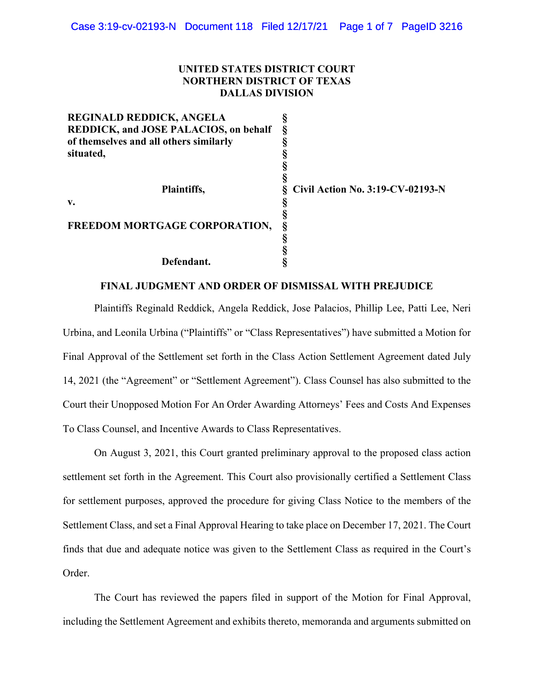## **UNITED STATES DISTRICT COURT NORTHERN DISTRICT OF TEXAS DALLAS DIVISION**

| <b>REGINALD REDDICK, ANGELA</b>              |                                  |
|----------------------------------------------|----------------------------------|
| <b>REDDICK, and JOSE PALACIOS, on behalf</b> |                                  |
| of themselves and all others similarly       |                                  |
| situated,                                    |                                  |
|                                              |                                  |
|                                              |                                  |
| Plaintiffs,                                  | Civil Action No. 3:19-CV-02193-N |
| v.                                           |                                  |
|                                              |                                  |
| FREEDOM MORTGAGE CORPORATION,                |                                  |
|                                              |                                  |
|                                              |                                  |
| Defendant.                                   |                                  |

# **FINAL JUDGMENT AND ORDER OF DISMISSAL WITH PREJUDICE**

Plaintiffs Reginald Reddick, Angela Reddick, Jose Palacios, Phillip Lee, Patti Lee, Neri Urbina, and Leonila Urbina ("Plaintiffs" or "Class Representatives") have submitted a Motion for Final Approval of the Settlement set forth in the Class Action Settlement Agreement dated July 14, 2021 (the "Agreement" or "Settlement Agreement"). Class Counsel has also submitted to the Court their Unopposed Motion For An Order Awarding Attorneys' Fees and Costs And Expenses To Class Counsel, and Incentive Awards to Class Representatives.

On August 3, 2021, this Court granted preliminary approval to the proposed class action settlement set forth in the Agreement. This Court also provisionally certified a Settlement Class for settlement purposes, approved the procedure for giving Class Notice to the members of the Settlement Class, and set a Final Approval Hearing to take place on December 17, 2021. The Court finds that due and adequate notice was given to the Settlement Class as required in the Court's Order.

The Court has reviewed the papers filed in support of the Motion for Final Approval, including the Settlement Agreement and exhibits thereto, memoranda and arguments submitted on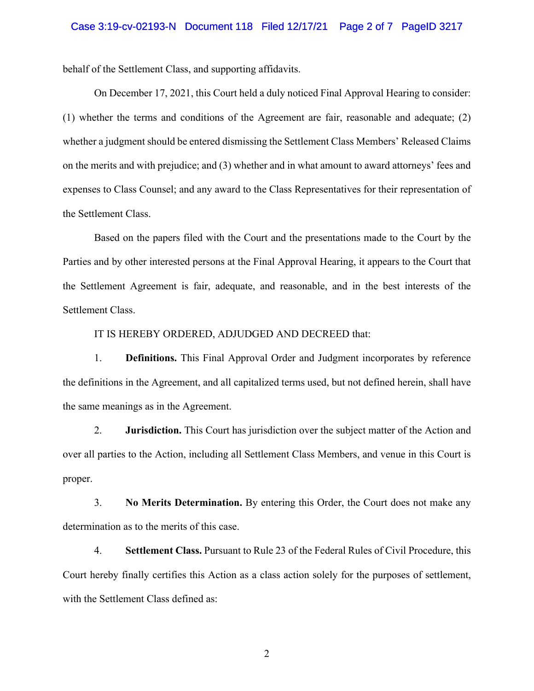behalf of the Settlement Class, and supporting affidavits.

On December 17, 2021, this Court held a duly noticed Final Approval Hearing to consider: (1) whether the terms and conditions of the Agreement are fair, reasonable and adequate; (2) whether a judgment should be entered dismissing the Settlement Class Members' Released Claims on the merits and with prejudice; and (3) whether and in what amount to award attorneys' fees and expenses to Class Counsel; and any award to the Class Representatives for their representation of the Settlement Class.

Based on the papers filed with the Court and the presentations made to the Court by the Parties and by other interested persons at the Final Approval Hearing, it appears to the Court that the Settlement Agreement is fair, adequate, and reasonable, and in the best interests of the Settlement Class.

IT IS HEREBY ORDERED, ADJUDGED AND DECREED that:

1. **Definitions.** This Final Approval Order and Judgment incorporates by reference the definitions in the Agreement, and all capitalized terms used, but not defined herein, shall have the same meanings as in the Agreement.

2. **Jurisdiction.** This Court has jurisdiction over the subject matter of the Action and over all parties to the Action, including all Settlement Class Members, and venue in this Court is proper.

3. **No Merits Determination.** By entering this Order, the Court does not make any determination as to the merits of this case.

4. **Settlement Class.** Pursuant to Rule 23 of the Federal Rules of Civil Procedure, this Court hereby finally certifies this Action as a class action solely for the purposes of settlement, with the Settlement Class defined as:

2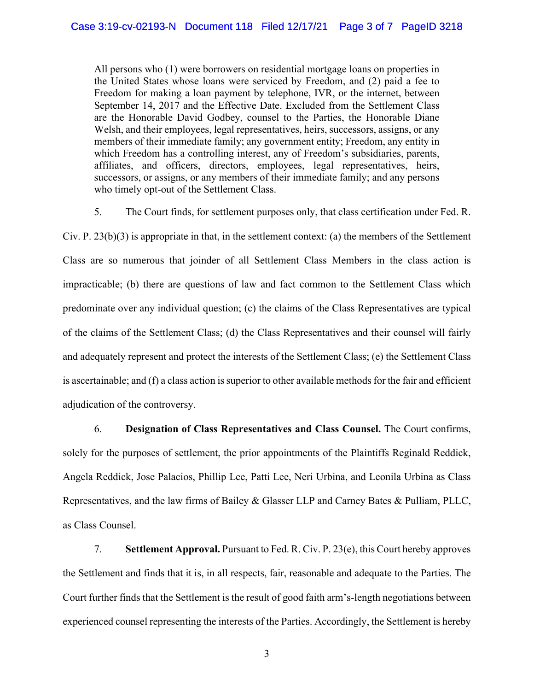All persons who (1) were borrowers on residential mortgage loans on properties in the United States whose loans were serviced by Freedom, and (2) paid a fee to Freedom for making a loan payment by telephone, IVR, or the internet, between September 14, 2017 and the Effective Date. Excluded from the Settlement Class are the Honorable David Godbey, counsel to the Parties, the Honorable Diane Welsh, and their employees, legal representatives, heirs, successors, assigns, or any members of their immediate family; any government entity; Freedom, any entity in which Freedom has a controlling interest, any of Freedom's subsidiaries, parents, affiliates, and officers, directors, employees, legal representatives, heirs, successors, or assigns, or any members of their immediate family; and any persons who timely opt-out of the Settlement Class.

5. The Court finds, for settlement purposes only, that class certification under Fed. R.

Civ. P.  $23(b)(3)$  is appropriate in that, in the settlement context: (a) the members of the Settlement Class are so numerous that joinder of all Settlement Class Members in the class action is impracticable; (b) there are questions of law and fact common to the Settlement Class which predominate over any individual question; (c) the claims of the Class Representatives are typical of the claims of the Settlement Class; (d) the Class Representatives and their counsel will fairly and adequately represent and protect the interests of the Settlement Class; (e) the Settlement Class is ascertainable; and (f) a class action is superior to other available methods for the fair and efficient adjudication of the controversy.

6. **Designation of Class Representatives and Class Counsel.** The Court confirms, solely for the purposes of settlement, the prior appointments of the Plaintiffs Reginald Reddick, Angela Reddick, Jose Palacios, Phillip Lee, Patti Lee, Neri Urbina, and Leonila Urbina as Class Representatives, and the law firms of Bailey & Glasser LLP and Carney Bates & Pulliam, PLLC, as Class Counsel.

7. **Settlement Approval.** Pursuant to Fed. R. Civ. P. 23(e), this Court hereby approves the Settlement and finds that it is, in all respects, fair, reasonable and adequate to the Parties. The Court further finds that the Settlement is the result of good faith arm's-length negotiations between experienced counsel representing the interests of the Parties. Accordingly, the Settlement is hereby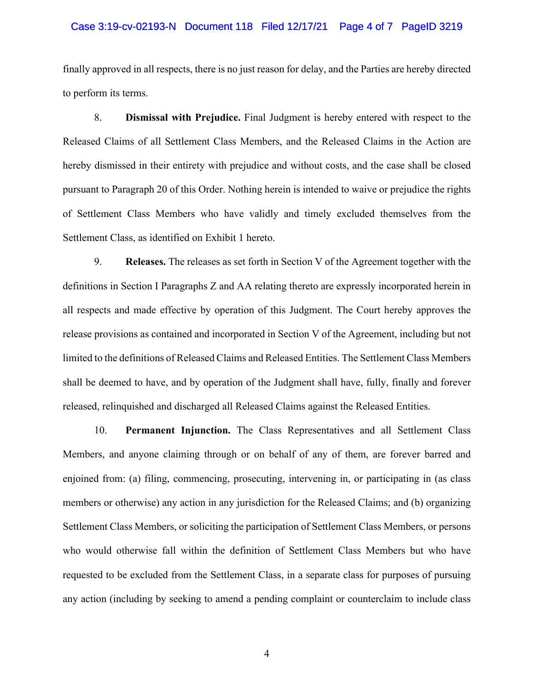#### Case 3:19-cv-02193-N Document 118 Filed 12/17/21 Page 4 of 7 PageID 3219

finally approved in all respects, there is no just reason for delay, and the Parties are hereby directed to perform its terms.

8. **Dismissal with Prejudice.** Final Judgment is hereby entered with respect to the Released Claims of all Settlement Class Members, and the Released Claims in the Action are hereby dismissed in their entirety with prejudice and without costs, and the case shall be closed pursuant to Paragraph 20 of this Order. Nothing herein is intended to waive or prejudice the rights of Settlement Class Members who have validly and timely excluded themselves from the Settlement Class, as identified on Exhibit 1 hereto.

9. **Releases.** The releases as set forth in Section V of the Agreement together with the definitions in Section I Paragraphs Z and AA relating thereto are expressly incorporated herein in all respects and made effective by operation of this Judgment. The Court hereby approves the release provisions as contained and incorporated in Section V of the Agreement, including but not limited to the definitions of Released Claims and Released Entities. The Settlement Class Members shall be deemed to have, and by operation of the Judgment shall have, fully, finally and forever released, relinquished and discharged all Released Claims against the Released Entities.

10. **Permanent Injunction.** The Class Representatives and all Settlement Class Members, and anyone claiming through or on behalf of any of them, are forever barred and enjoined from: (a) filing, commencing, prosecuting, intervening in, or participating in (as class members or otherwise) any action in any jurisdiction for the Released Claims; and (b) organizing Settlement Class Members, or soliciting the participation of Settlement Class Members, or persons who would otherwise fall within the definition of Settlement Class Members but who have requested to be excluded from the Settlement Class, in a separate class for purposes of pursuing any action (including by seeking to amend a pending complaint or counterclaim to include class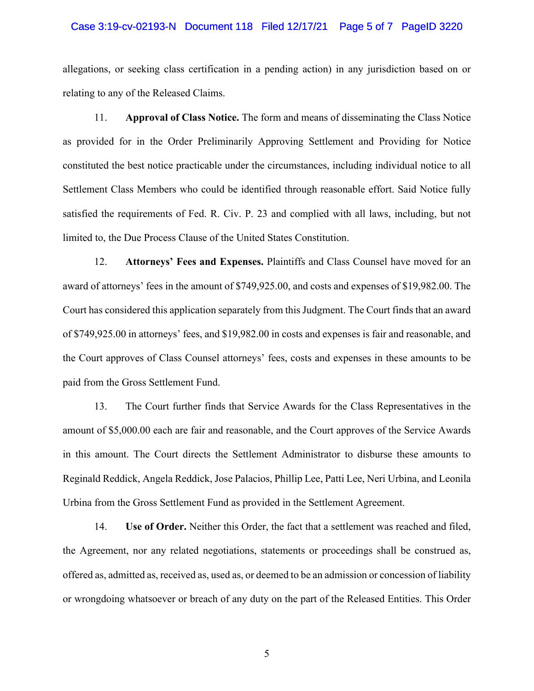#### Case 3:19-cv-02193-N Document 118 Filed 12/17/21 Page 5 of 7 PageID 3220

allegations, or seeking class certification in a pending action) in any jurisdiction based on or relating to any of the Released Claims.

11. **Approval of Class Notice.** The form and means of disseminating the Class Notice as provided for in the Order Preliminarily Approving Settlement and Providing for Notice constituted the best notice practicable under the circumstances, including individual notice to all Settlement Class Members who could be identified through reasonable effort. Said Notice fully satisfied the requirements of Fed. R. Civ. P. 23 and complied with all laws, including, but not limited to, the Due Process Clause of the United States Constitution.

12. **Attorneys' Fees and Expenses.** Plaintiffs and Class Counsel have moved for an award of attorneys' fees in the amount of \$749,925.00, and costs and expenses of \$19,982.00. The Court has considered this application separately from this Judgment. The Court finds that an award of \$749,925.00 in attorneys' fees, and \$19,982.00 in costs and expenses is fair and reasonable, and the Court approves of Class Counsel attorneys' fees, costs and expenses in these amounts to be paid from the Gross Settlement Fund.

13. The Court further finds that Service Awards for the Class Representatives in the amount of \$5,000.00 each are fair and reasonable, and the Court approves of the Service Awards in this amount. The Court directs the Settlement Administrator to disburse these amounts to Reginald Reddick, Angela Reddick, Jose Palacios, Phillip Lee, Patti Lee, Neri Urbina, and Leonila Urbina from the Gross Settlement Fund as provided in the Settlement Agreement.

14. **Use of Order.** Neither this Order, the fact that a settlement was reached and filed, the Agreement, nor any related negotiations, statements or proceedings shall be construed as, offered as, admitted as, received as, used as, or deemed to be an admission or concession of liability or wrongdoing whatsoever or breach of any duty on the part of the Released Entities. This Order

5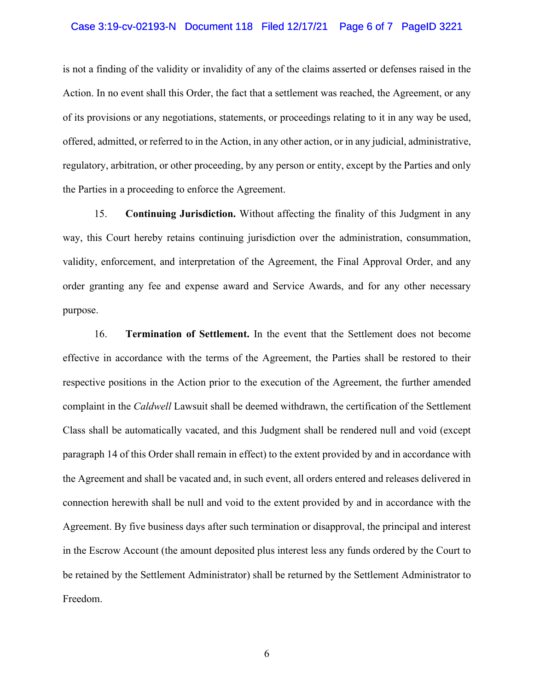#### Case 3:19-cv-02193-N Document 118 Filed 12/17/21 Page 6 of 7 PageID 3221

is not a finding of the validity or invalidity of any of the claims asserted or defenses raised in the Action. In no event shall this Order, the fact that a settlement was reached, the Agreement, or any of its provisions or any negotiations, statements, or proceedings relating to it in any way be used, offered, admitted, or referred to in the Action, in any other action, or in any judicial, administrative, regulatory, arbitration, or other proceeding, by any person or entity, except by the Parties and only the Parties in a proceeding to enforce the Agreement.

15. **Continuing Jurisdiction.** Without affecting the finality of this Judgment in any way, this Court hereby retains continuing jurisdiction over the administration, consummation, validity, enforcement, and interpretation of the Agreement, the Final Approval Order, and any order granting any fee and expense award and Service Awards, and for any other necessary purpose.

16. **Termination of Settlement.** In the event that the Settlement does not become effective in accordance with the terms of the Agreement, the Parties shall be restored to their respective positions in the Action prior to the execution of the Agreement, the further amended complaint in the *Caldwell* Lawsuit shall be deemed withdrawn, the certification of the Settlement Class shall be automatically vacated, and this Judgment shall be rendered null and void (except paragraph 14 of this Order shall remain in effect) to the extent provided by and in accordance with the Agreement and shall be vacated and, in such event, all orders entered and releases delivered in connection herewith shall be null and void to the extent provided by and in accordance with the Agreement. By five business days after such termination or disapproval, the principal and interest in the Escrow Account (the amount deposited plus interest less any funds ordered by the Court to be retained by the Settlement Administrator) shall be returned by the Settlement Administrator to Freedom.